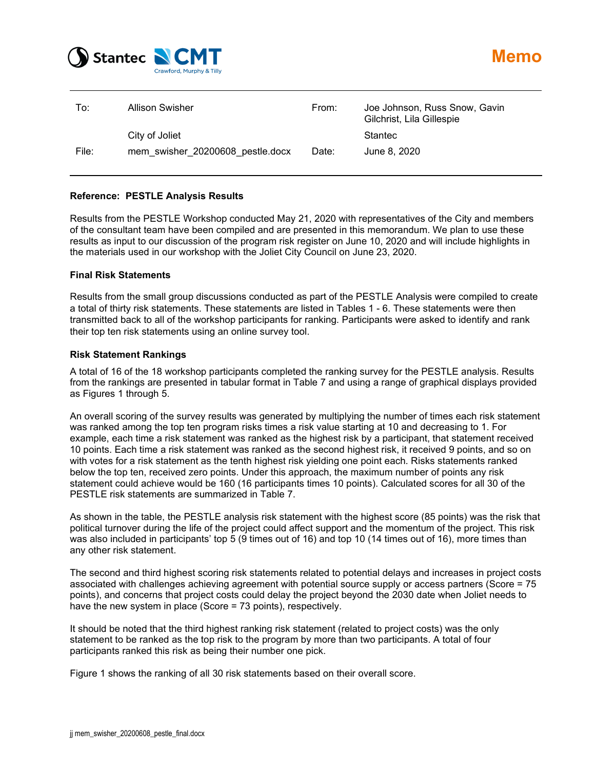

| To:   | Allison Swisher                  | From: | Joe Johnson, Russ Snow, Gavin<br>Gilchrist, Lila Gillespie |
|-------|----------------------------------|-------|------------------------------------------------------------|
|       | City of Joliet                   |       | <b>Stantec</b>                                             |
| File: | mem swisher 20200608 pestle.docx | Date: | June 8, 2020                                               |

#### **Reference: PESTLE Analysis Results**

Results from the PESTLE Workshop conducted May 21, 2020 with representatives of the City and members of the consultant team have been compiled and are presented in this memorandum. We plan to use these results as input to our discussion of the program risk register on June 10, 2020 and will include highlights in the materials used in our workshop with the Joliet City Council on June 23, 2020.

#### **Final Risk Statements**

Results from the small group discussions conducted as part of the PESTLE Analysis were compiled to create a total of thirty risk statements. These statements are listed in Tables 1 - 6. These statements were then transmitted back to all of the workshop participants for ranking. Participants were asked to identify and rank their top ten risk statements using an online survey tool.

#### **Risk Statement Rankings**

A total of 16 of the 18 workshop participants completed the ranking survey for the PESTLE analysis. Results from the rankings are presented in tabular format in Table 7 and using a range of graphical displays provided as Figures 1 through 5.

An overall scoring of the survey results was generated by multiplying the number of times each risk statement was ranked among the top ten program risks times a risk value starting at 10 and decreasing to 1. For example, each time a risk statement was ranked as the highest risk by a participant, that statement received 10 points. Each time a risk statement was ranked as the second highest risk, it received 9 points, and so on with votes for a risk statement as the tenth highest risk yielding one point each. Risks statements ranked below the top ten, received zero points. Under this approach, the maximum number of points any risk statement could achieve would be 160 (16 participants times 10 points). Calculated scores for all 30 of the PESTLE risk statements are summarized in Table 7.

As shown in the table, the PESTLE analysis risk statement with the highest score (85 points) was the risk that political turnover during the life of the project could affect support and the momentum of the project. This risk was also included in participants' top 5 (9 times out of 16) and top 10 (14 times out of 16), more times than any other risk statement.

The second and third highest scoring risk statements related to potential delays and increases in project costs associated with challenges achieving agreement with potential source supply or access partners (Score = 75 points), and concerns that project costs could delay the project beyond the 2030 date when Joliet needs to have the new system in place (Score = 73 points), respectively.

It should be noted that the third highest ranking risk statement (related to project costs) was the only statement to be ranked as the top risk to the program by more than two participants. A total of four participants ranked this risk as being their number one pick.

Figure 1 shows the ranking of all 30 risk statements based on their overall score.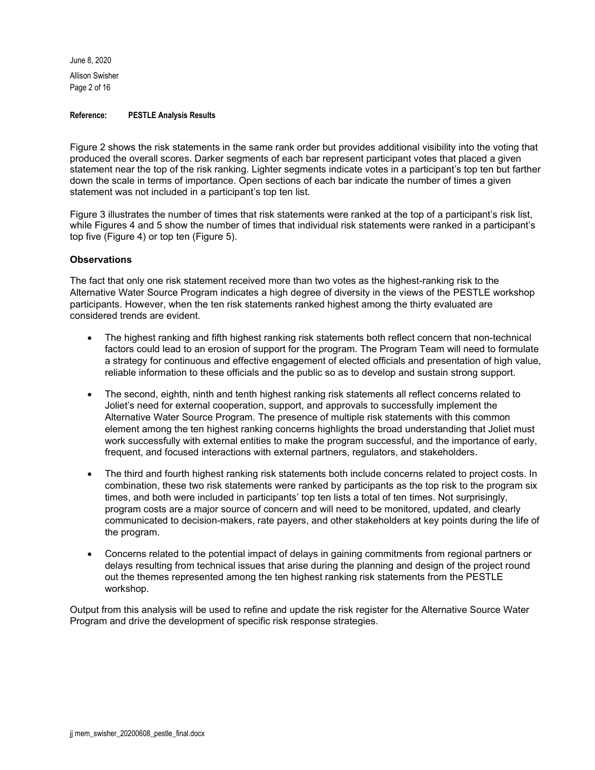June 8, 2020 Allison Swisher Page 2 of 16

#### **Reference: PESTLE Analysis Results**

Figure 2 shows the risk statements in the same rank order but provides additional visibility into the voting that produced the overall scores. Darker segments of each bar represent participant votes that placed a given statement near the top of the risk ranking. Lighter segments indicate votes in a participant's top ten but farther down the scale in terms of importance. Open sections of each bar indicate the number of times a given statement was not included in a participant's top ten list.

Figure 3 illustrates the number of times that risk statements were ranked at the top of a participant's risk list, while Figures 4 and 5 show the number of times that individual risk statements were ranked in a participant's top five (Figure 4) or top ten (Figure 5).

#### **Observations**

The fact that only one risk statement received more than two votes as the highest-ranking risk to the Alternative Water Source Program indicates a high degree of diversity in the views of the PESTLE workshop participants. However, when the ten risk statements ranked highest among the thirty evaluated are considered trends are evident.

- The highest ranking and fifth highest ranking risk statements both reflect concern that non-technical factors could lead to an erosion of support for the program. The Program Team will need to formulate a strategy for continuous and effective engagement of elected officials and presentation of high value, reliable information to these officials and the public so as to develop and sustain strong support.
- The second, eighth, ninth and tenth highest ranking risk statements all reflect concerns related to Joliet's need for external cooperation, support, and approvals to successfully implement the Alternative Water Source Program. The presence of multiple risk statements with this common element among the ten highest ranking concerns highlights the broad understanding that Joliet must work successfully with external entities to make the program successful, and the importance of early, frequent, and focused interactions with external partners, regulators, and stakeholders.
- The third and fourth highest ranking risk statements both include concerns related to project costs. In combination, these two risk statements were ranked by participants as the top risk to the program six times, and both were included in participants' top ten lists a total of ten times. Not surprisingly, program costs are a major source of concern and will need to be monitored, updated, and clearly communicated to decision-makers, rate payers, and other stakeholders at key points during the life of the program.
- Concerns related to the potential impact of delays in gaining commitments from regional partners or delays resulting from technical issues that arise during the planning and design of the project round out the themes represented among the ten highest ranking risk statements from the PESTLE workshop.

Output from this analysis will be used to refine and update the risk register for the Alternative Source Water Program and drive the development of specific risk response strategies.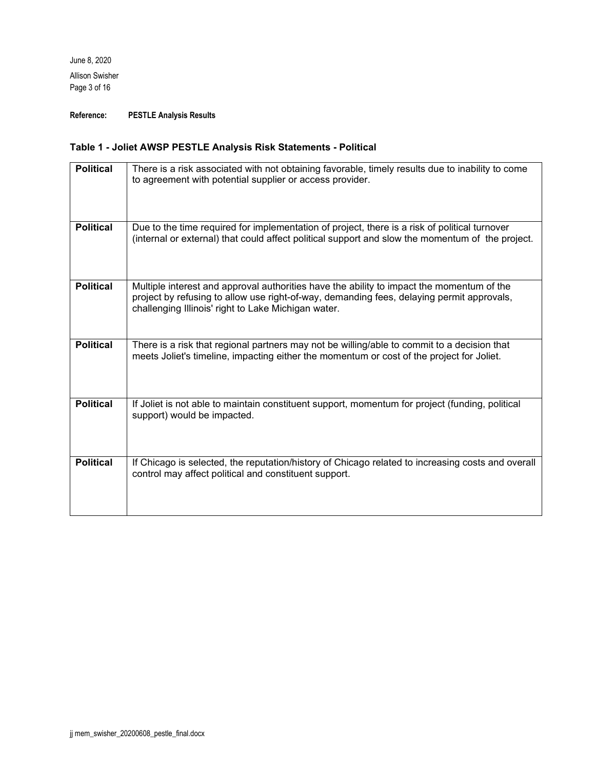June 8, 2020 Allison Swisher Page 3 of 16

**Reference: PESTLE Analysis Results**

## **Table 1 - Joliet AWSP PESTLE Analysis Risk Statements - Political**

| <b>Political</b> | There is a risk associated with not obtaining favorable, timely results due to inability to come<br>to agreement with potential supplier or access provider.                                                                                  |
|------------------|-----------------------------------------------------------------------------------------------------------------------------------------------------------------------------------------------------------------------------------------------|
| <b>Political</b> | Due to the time required for implementation of project, there is a risk of political turnover<br>(internal or external) that could affect political support and slow the momentum of the project.                                             |
| <b>Political</b> | Multiple interest and approval authorities have the ability to impact the momentum of the<br>project by refusing to allow use right-of-way, demanding fees, delaying permit approvals,<br>challenging Illinois' right to Lake Michigan water. |
| <b>Political</b> | There is a risk that regional partners may not be willing/able to commit to a decision that<br>meets Joliet's timeline, impacting either the momentum or cost of the project for Joliet.                                                      |
| <b>Political</b> | If Joliet is not able to maintain constituent support, momentum for project (funding, political<br>support) would be impacted.                                                                                                                |
| <b>Political</b> | If Chicago is selected, the reputation/history of Chicago related to increasing costs and overall<br>control may affect political and constituent support.                                                                                    |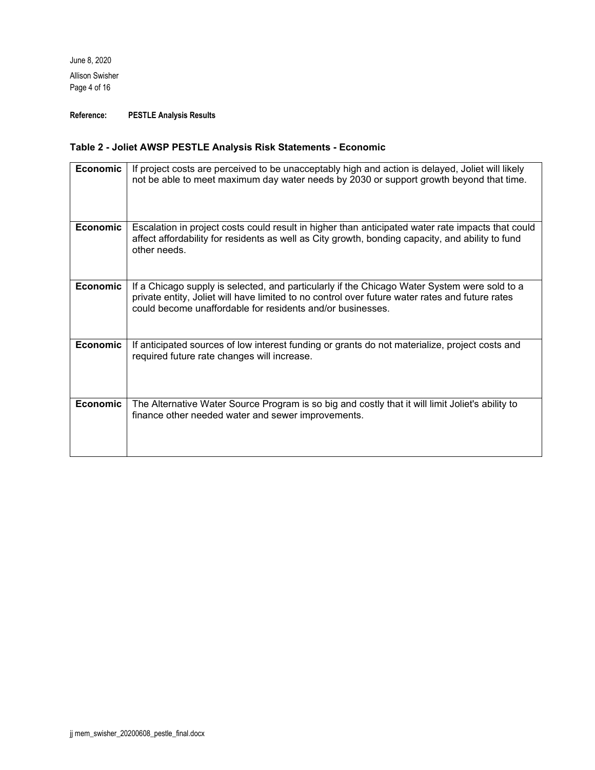June 8, 2020 Allison Swisher Page 4 of 16

**Reference: PESTLE Analysis Results**

## **Table 2 - Joliet AWSP PESTLE Analysis Risk Statements - Economic**

| <b>Economic</b> | If project costs are perceived to be unacceptably high and action is delayed, Joliet will likely<br>not be able to meet maximum day water needs by 2030 or support growth beyond that time.                                                                   |
|-----------------|---------------------------------------------------------------------------------------------------------------------------------------------------------------------------------------------------------------------------------------------------------------|
| Economic        | Escalation in project costs could result in higher than anticipated water rate impacts that could<br>affect affordability for residents as well as City growth, bonding capacity, and ability to fund<br>other needs                                          |
| <b>Economic</b> | If a Chicago supply is selected, and particularly if the Chicago Water System were sold to a<br>private entity, Joliet will have limited to no control over future water rates and future rates<br>could become unaffordable for residents and/or businesses. |
| <b>Economic</b> | If anticipated sources of low interest funding or grants do not materialize, project costs and<br>required future rate changes will increase.                                                                                                                 |
| <b>Economic</b> | The Alternative Water Source Program is so big and costly that it will limit Joliet's ability to<br>finance other needed water and sewer improvements.                                                                                                        |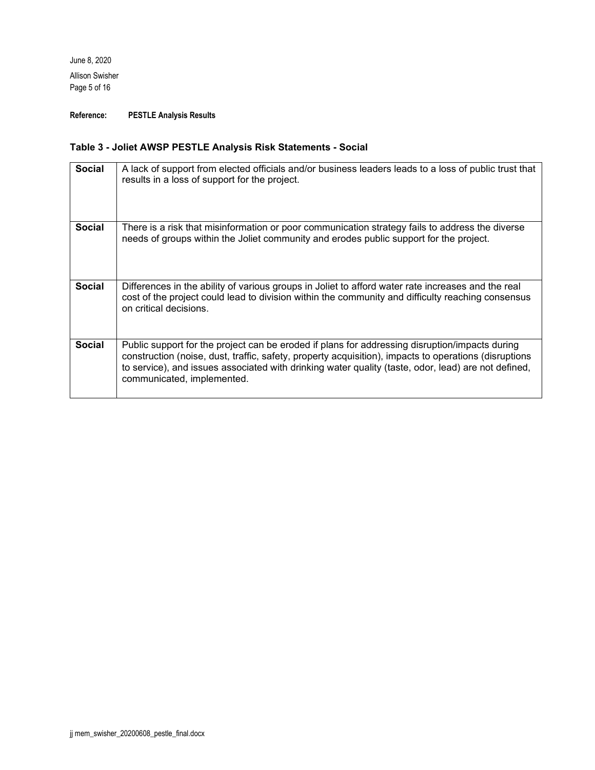June 8, 2020 Allison Swisher Page 5 of 16

**Reference: PESTLE Analysis Results**

## **Table 3 - Joliet AWSP PESTLE Analysis Risk Statements - Social**

| <b>Social</b> | A lack of support from elected officials and/or business leaders leads to a loss of public trust that<br>results in a loss of support for the project.                                                                                                                                                                                       |
|---------------|----------------------------------------------------------------------------------------------------------------------------------------------------------------------------------------------------------------------------------------------------------------------------------------------------------------------------------------------|
| <b>Social</b> | There is a risk that misinformation or poor communication strategy fails to address the diverse<br>needs of groups within the Joliet community and erodes public support for the project.                                                                                                                                                    |
| <b>Social</b> | Differences in the ability of various groups in Joliet to afford water rate increases and the real<br>cost of the project could lead to division within the community and difficulty reaching consensus<br>on critical decisions.                                                                                                            |
| <b>Social</b> | Public support for the project can be eroded if plans for addressing disruption/impacts during<br>construction (noise, dust, traffic, safety, property acquisition), impacts to operations (disruptions<br>to service), and issues associated with drinking water quality (taste, odor, lead) are not defined,<br>communicated, implemented. |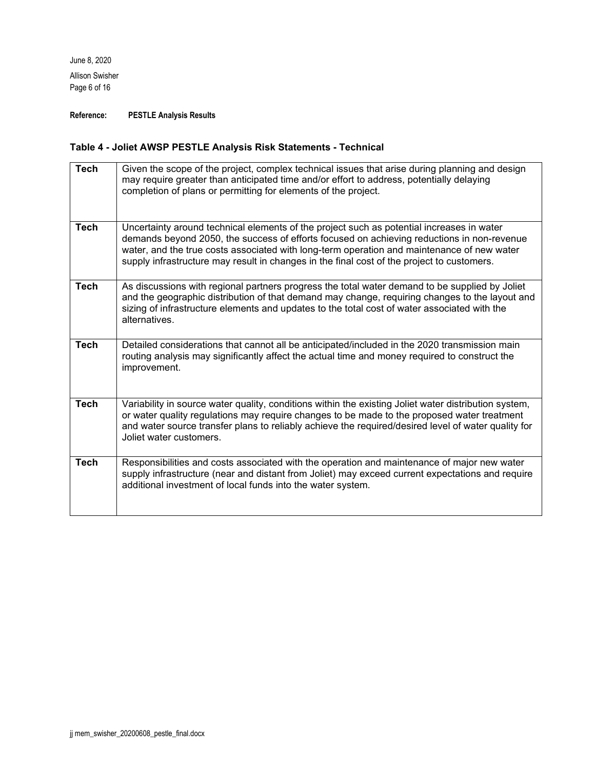June 8, 2020 Allison Swisher Page 6 of 16

**Reference: PESTLE Analysis Results**

## **Table 4 - Joliet AWSP PESTLE Analysis Risk Statements - Technical**

| <b>Tech</b> | Given the scope of the project, complex technical issues that arise during planning and design<br>may require greater than anticipated time and/or effort to address, potentially delaying<br>completion of plans or permitting for elements of the project.                                                                                                                        |
|-------------|-------------------------------------------------------------------------------------------------------------------------------------------------------------------------------------------------------------------------------------------------------------------------------------------------------------------------------------------------------------------------------------|
| <b>Tech</b> | Uncertainty around technical elements of the project such as potential increases in water<br>demands beyond 2050, the success of efforts focused on achieving reductions in non-revenue<br>water, and the true costs associated with long-term operation and maintenance of new water<br>supply infrastructure may result in changes in the final cost of the project to customers. |
| <b>Tech</b> | As discussions with regional partners progress the total water demand to be supplied by Joliet<br>and the geographic distribution of that demand may change, requiring changes to the layout and<br>sizing of infrastructure elements and updates to the total cost of water associated with the<br>alternatives.                                                                   |
| <b>Tech</b> | Detailed considerations that cannot all be anticipated/included in the 2020 transmission main<br>routing analysis may significantly affect the actual time and money required to construct the<br>improvement.                                                                                                                                                                      |
| <b>Tech</b> | Variability in source water quality, conditions within the existing Joliet water distribution system,<br>or water quality regulations may require changes to be made to the proposed water treatment<br>and water source transfer plans to reliably achieve the required/desired level of water quality for<br>Joliet water customers.                                              |
| <b>Tech</b> | Responsibilities and costs associated with the operation and maintenance of major new water<br>supply infrastructure (near and distant from Joliet) may exceed current expectations and require<br>additional investment of local funds into the water system.                                                                                                                      |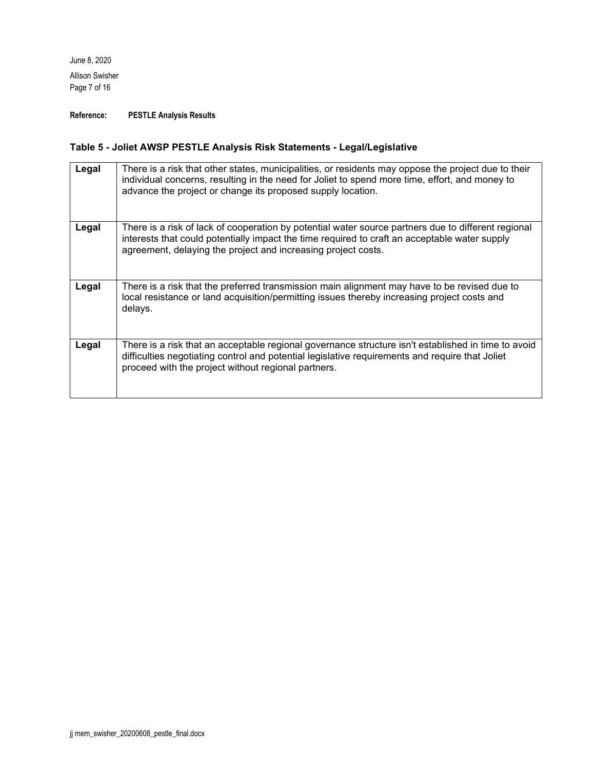June 8, 2020 Allison Swisher Page 7 of 16

**Reference: PESTLE Analysis Results**

## **Table 5 - Joliet AWSP PESTLE Analysis Risk Statements - Legal/Legislative**

| Legal | There is a risk that other states, municipalities, or residents may oppose the project due to their<br>individual concerns, resulting in the need for Joliet to spend more time, effort, and money to<br>advance the project or change its proposed supply location.  |
|-------|-----------------------------------------------------------------------------------------------------------------------------------------------------------------------------------------------------------------------------------------------------------------------|
| Legal | There is a risk of lack of cooperation by potential water source partners due to different regional<br>interests that could potentially impact the time required to craft an acceptable water supply<br>agreement, delaying the project and increasing project costs. |
| Legal | There is a risk that the preferred transmission main alignment may have to be revised due to<br>local resistance or land acquisition/permitting issues thereby increasing project costs and<br>delays.                                                                |
| Legal | There is a risk that an acceptable regional governance structure isn't established in time to avoid<br>difficulties negotiating control and potential legislative requirements and require that Joliet<br>proceed with the project without regional partners.         |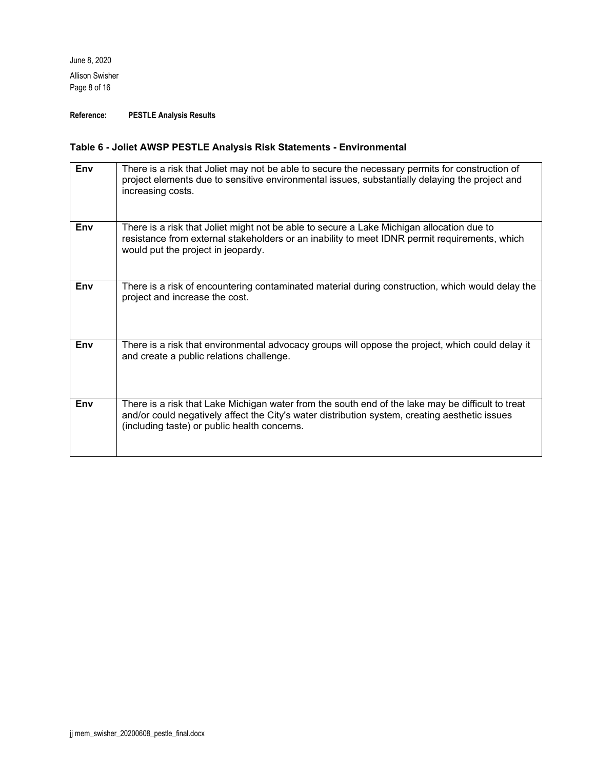June 8, 2020 Allison Swisher Page 8 of 16

**Reference: PESTLE Analysis Results**

## **Table 6 - Joliet AWSP PESTLE Analysis Risk Statements - Environmental**

| Env | There is a risk that Joliet may not be able to secure the necessary permits for construction of<br>project elements due to sensitive environmental issues, substantially delaying the project and<br>increasing costs.                              |
|-----|-----------------------------------------------------------------------------------------------------------------------------------------------------------------------------------------------------------------------------------------------------|
| Env | There is a risk that Joliet might not be able to secure a Lake Michigan allocation due to<br>resistance from external stakeholders or an inability to meet IDNR permit requirements, which<br>would put the project in jeopardy.                    |
| Env | There is a risk of encountering contaminated material during construction, which would delay the<br>project and increase the cost.                                                                                                                  |
| Env | There is a risk that environmental advocacy groups will oppose the project, which could delay it<br>and create a public relations challenge.                                                                                                        |
| Env | There is a risk that Lake Michigan water from the south end of the lake may be difficult to treat<br>and/or could negatively affect the City's water distribution system, creating aesthetic issues<br>(including taste) or public health concerns. |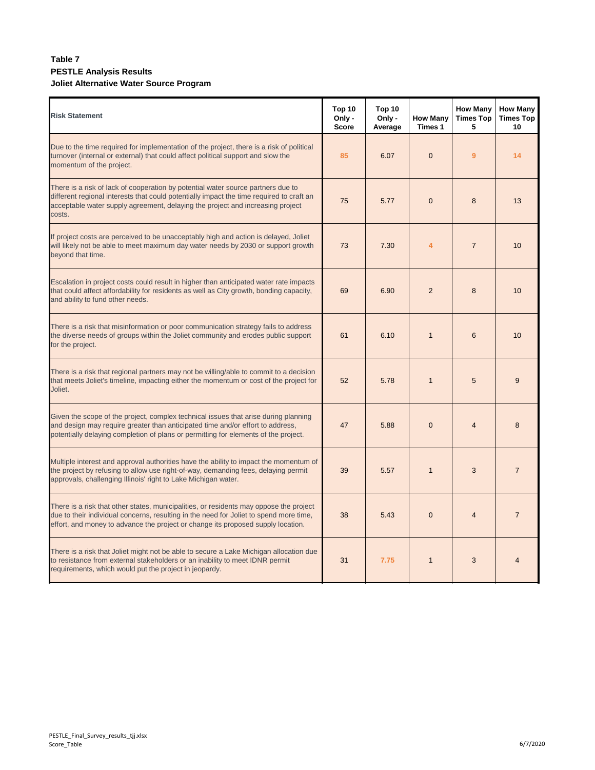### **Table 7 PESTLE Analysis Results Joliet Alternative Water Source Program**

| <b>Risk Statement</b>                                                                                                                                                                                                                                                    | Top 10<br>Only -<br><b>Score</b> | Top 10<br>Only -<br>Average | <b>How Many</b><br>Times 1 | <b>How Many</b><br><b>Times Top</b><br>5 | <b>How Many</b><br><b>Times Top</b><br>10 |
|--------------------------------------------------------------------------------------------------------------------------------------------------------------------------------------------------------------------------------------------------------------------------|----------------------------------|-----------------------------|----------------------------|------------------------------------------|-------------------------------------------|
| Due to the time required for implementation of the project, there is a risk of political<br>turnover (internal or external) that could affect political support and slow the<br>momentum of the project.                                                                 | 85                               | 6.07                        | $\overline{0}$             | 9                                        | 14                                        |
| There is a risk of lack of cooperation by potential water source partners due to<br>different regional interests that could potentially impact the time required to craft an<br>acceptable water supply agreement, delaying the project and increasing project<br>costs. | 75                               | 5.77                        | $\overline{0}$             | 8                                        | 13                                        |
| If project costs are perceived to be unacceptably high and action is delayed, Joliet<br>will likely not be able to meet maximum day water needs by 2030 or support growth<br>beyond that time.                                                                           | 73                               | 7.30                        | $\overline{4}$             | $\overline{7}$                           | 10                                        |
| Escalation in project costs could result in higher than anticipated water rate impacts<br>that could affect affordability for residents as well as City growth, bonding capacity,<br>and ability to fund other needs.                                                    | 69                               | 6.90                        | $\overline{2}$             | 8                                        | 10                                        |
| There is a risk that misinformation or poor communication strategy fails to address<br>the diverse needs of groups within the Joliet community and erodes public support<br>for the project.                                                                             | 61                               | 6.10                        | $\mathbf{1}$               | 6                                        | 10                                        |
| There is a risk that regional partners may not be willing/able to commit to a decision<br>that meets Joliet's timeline, impacting either the momentum or cost of the project for<br>Joliet.                                                                              | 52                               | 5.78                        | $\overline{1}$             | 5                                        | 9                                         |
| Given the scope of the project, complex technical issues that arise during planning<br>and design may require greater than anticipated time and/or effort to address,<br>potentially delaying completion of plans or permitting for elements of the project.             | 47                               | 5.88                        | $\overline{0}$             | $\overline{4}$                           | 8                                         |
| Multiple interest and approval authorities have the ability to impact the momentum of<br>the project by refusing to allow use right-of-way, demanding fees, delaying permit<br>approvals, challenging Illinois' right to Lake Michigan water.                            | 39                               | 5.57                        | $\overline{1}$             | 3                                        | $\overline{7}$                            |
| There is a risk that other states, municipalities, or residents may oppose the project<br>due to their individual concerns, resulting in the need for Joliet to spend more time,<br>effort, and money to advance the project or change its proposed supply location.     | 38                               | 5.43                        | $\mathbf{0}$               | $\overline{4}$                           | $\overline{7}$                            |
| There is a risk that Joliet might not be able to secure a Lake Michigan allocation due<br>to resistance from external stakeholders or an inability to meet IDNR permit<br>requirements, which would put the project in jeopardy.                                         | 31                               | 7.75                        | $\overline{1}$             | 3                                        | $\overline{4}$                            |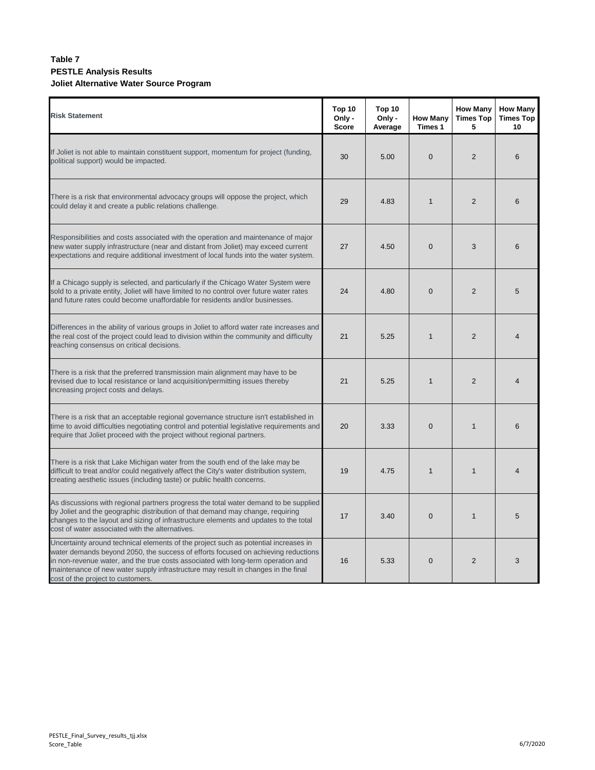### **Table 7 PESTLE Analysis Results Joliet Alternative Water Source Program**

| <b>Risk Statement</b>                                                                                                                                                                                                                                                                                                                                                                  | Top 10<br>Only -<br><b>Score</b> | Top 10<br>Only -<br>Average | <b>How Many</b><br>Times 1 | <b>How Many</b><br><b>Times Top</b><br>5 | <b>How Many</b><br><b>Times Top</b><br>10 |
|----------------------------------------------------------------------------------------------------------------------------------------------------------------------------------------------------------------------------------------------------------------------------------------------------------------------------------------------------------------------------------------|----------------------------------|-----------------------------|----------------------------|------------------------------------------|-------------------------------------------|
| If Joliet is not able to maintain constituent support, momentum for project (funding,<br>political support) would be impacted.                                                                                                                                                                                                                                                         | 30                               | 5.00                        | $\mathbf{0}$               | 2                                        | 6                                         |
| There is a risk that environmental advocacy groups will oppose the project, which<br>could delay it and create a public relations challenge.                                                                                                                                                                                                                                           | 29                               | 4.83                        | $\mathbf{1}$               | 2                                        | 6                                         |
| Responsibilities and costs associated with the operation and maintenance of major<br>new water supply infrastructure (near and distant from Joliet) may exceed current<br>expectations and require additional investment of local funds into the water system.                                                                                                                         | 27                               | 4.50                        | $\mathbf{0}$               | 3                                        | 6                                         |
| If a Chicago supply is selected, and particularly if the Chicago Water System were<br>sold to a private entity, Joliet will have limited to no control over future water rates<br>and future rates could become unaffordable for residents and/or businesses.                                                                                                                          | 24                               | 4.80                        | $\mathbf 0$                | $\overline{2}$                           | 5                                         |
| Differences in the ability of various groups in Joliet to afford water rate increases and<br>the real cost of the project could lead to division within the community and difficulty<br>reaching consensus on critical decisions.                                                                                                                                                      | 21                               | 5.25                        | $\mathbf{1}$               | $\overline{2}$                           | $\overline{\mathbf{4}}$                   |
| There is a risk that the preferred transmission main alignment may have to be<br>revised due to local resistance or land acquisition/permitting issues thereby<br>increasing project costs and delays.                                                                                                                                                                                 | 21                               | 5.25                        | $\mathbf{1}$               | 2                                        | $\overline{4}$                            |
| There is a risk that an acceptable regional governance structure isn't established in<br>time to avoid difficulties negotiating control and potential legislative requirements and<br>require that Joliet proceed with the project without regional partners.                                                                                                                          | 20                               | 3.33                        | $\overline{0}$             | $\mathbf{1}$                             | 6                                         |
| There is a risk that Lake Michigan water from the south end of the lake may be<br>difficult to treat and/or could negatively affect the City's water distribution system,<br>creating aesthetic issues (including taste) or public health concerns.                                                                                                                                    | 19                               | 4.75                        | $\mathbf{1}$               | $\mathbf{1}$                             | $\overline{4}$                            |
| As discussions with regional partners progress the total water demand to be supplied<br>by Joliet and the geographic distribution of that demand may change, requiring<br>changes to the layout and sizing of infrastructure elements and updates to the total<br>cost of water associated with the alternatives.                                                                      | 17                               | 3.40                        | $\overline{0}$             | $\mathbf{1}$                             | 5                                         |
| Uncertainty around technical elements of the project such as potential increases in<br>water demands beyond 2050, the success of efforts focused on achieving reductions<br>in non-revenue water, and the true costs associated with long-term operation and<br>maintenance of new water supply infrastructure may result in changes in the final<br>cost of the project to customers. | 16                               | 5.33                        | $\mathbf 0$                | 2                                        | 3                                         |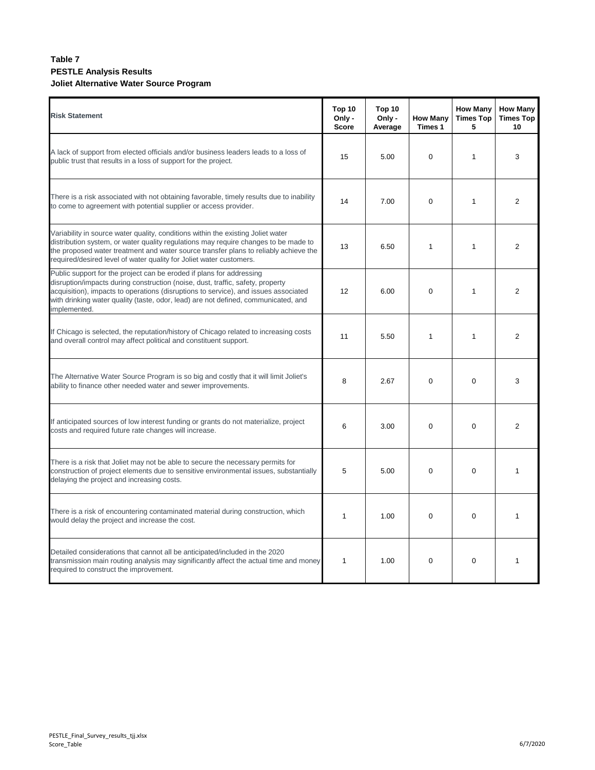### **Table 7 PESTLE Analysis Results Joliet Alternative Water Source Program**

| <b>Risk Statement</b>                                                                                                                                                                                                                                                                                                                               | Top 10<br>Only -<br><b>Score</b> | Top 10<br>Only -<br>Average | <b>How Many</b><br>Times 1 | <b>How Many</b><br><b>Times Top</b><br>5 | <b>How Many</b><br><b>Times Top</b><br>10 |
|-----------------------------------------------------------------------------------------------------------------------------------------------------------------------------------------------------------------------------------------------------------------------------------------------------------------------------------------------------|----------------------------------|-----------------------------|----------------------------|------------------------------------------|-------------------------------------------|
| A lack of support from elected officials and/or business leaders leads to a loss of<br>public trust that results in a loss of support for the project.                                                                                                                                                                                              | 15                               | 5.00                        | $\mathbf 0$                | $\mathbf{1}$                             | 3                                         |
| There is a risk associated with not obtaining favorable, timely results due to inability<br>to come to agreement with potential supplier or access provider.                                                                                                                                                                                        | 14                               | 7.00                        | $\mathbf 0$                | $\mathbf{1}$                             | $\overline{2}$                            |
| Variability in source water quality, conditions within the existing Joliet water<br>distribution system, or water quality regulations may require changes to be made to<br>the proposed water treatment and water source transfer plans to reliably achieve the<br>required/desired level of water quality for Joliet water customers.              | 13                               | 6.50                        | $\mathbf{1}$               | $\mathbf{1}$                             | $\overline{2}$                            |
| Public support for the project can be eroded if plans for addressing<br>disruption/impacts during construction (noise, dust, traffic, safety, property<br>acquisition), impacts to operations (disruptions to service), and issues associated<br>with drinking water quality (taste, odor, lead) are not defined, communicated, and<br>implemented. | 12                               | 6.00                        | $\mathbf 0$                | $\mathbf{1}$                             | $\overline{2}$                            |
| If Chicago is selected, the reputation/history of Chicago related to increasing costs<br>and overall control may affect political and constituent support.                                                                                                                                                                                          | 11                               | 5.50                        | $\mathbf{1}$               | $\mathbf{1}$                             | $\overline{2}$                            |
| The Alternative Water Source Program is so big and costly that it will limit Joliet's<br>ability to finance other needed water and sewer improvements.                                                                                                                                                                                              | 8                                | 2.67                        | $\Omega$                   | $\Omega$                                 | 3                                         |
| If anticipated sources of low interest funding or grants do not materialize, project<br>costs and required future rate changes will increase.                                                                                                                                                                                                       | 6                                | 3.00                        | $\mathbf 0$                | $\Omega$                                 | $\overline{2}$                            |
| There is a risk that Joliet may not be able to secure the necessary permits for<br>construction of project elements due to sensitive environmental issues, substantially<br>delaying the project and increasing costs.                                                                                                                              | 5                                | 5.00                        | $\Omega$                   | $\Omega$                                 | $\mathbf{1}$                              |
| There is a risk of encountering contaminated material during construction, which<br>would delay the project and increase the cost.                                                                                                                                                                                                                  | 1                                | 1.00                        | $\mathbf 0$                | $\Omega$                                 | $\mathbf{1}$                              |
| Detailed considerations that cannot all be anticipated/included in the 2020<br>transmission main routing analysis may significantly affect the actual time and money<br>required to construct the improvement.                                                                                                                                      | 1                                | 1.00                        | 0                          | $\mathbf 0$                              | $\mathbf{1}$                              |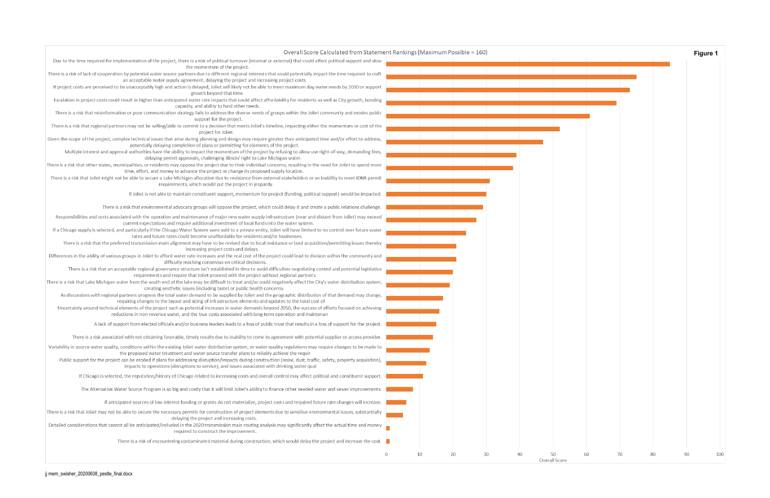| Overall Score Calculated from Statement Rankings (Maximum Possible = 160)                                                                                                                                                                                             |          |    |    |    |    |                      |
|-----------------------------------------------------------------------------------------------------------------------------------------------------------------------------------------------------------------------------------------------------------------------|----------|----|----|----|----|----------------------|
| Due to the time required for implementation of the project, there is a risk of political turnover (internal or external) that could affect political support and slow<br>the momentum of the project.                                                                 |          |    |    |    |    |                      |
| There is a risk of lack of cooperation by potential water source partners due to different regional interests that could potentially impact the time required to craft<br>an acceptable water supply agreement, delaying the project and increasing project costs.    |          |    |    |    |    |                      |
| If project costs are perceived to be unacceptably high and action is delayed, Joliet will likely not be able to meet maximum day water needs by 2030 or support<br>growth beyond that time.                                                                           |          |    |    |    |    |                      |
| Escalation in project costs could result in higher than anticipated water rate impacts that could affect affordability for residents as well as City growth, bonding<br>capacity, and ability to fund other needs.                                                    |          |    |    |    |    |                      |
| There is a risk that misinformation or poor communication strategy fails to address the diverse needs of groups within the Joliet community and erodes public<br>support for the project.                                                                             |          |    |    |    |    |                      |
| There is a risk that regional partners may not be willing/able to commit to a decision that meets Joliet's timeline, impacting either the momentum or cost of the<br>project for Joliet.                                                                              |          |    |    |    |    |                      |
| Given the scope of the project, complex technical issues that arise during planning and design may require greater than anticipated time and/or effort to address,<br>potentially delaying completion of plans or permitting for elements of the project.             |          |    |    |    |    |                      |
| Multiple interest and approval authorities have the ability to impact the momentum of the project by refusing to allow use right-of-way, demanding fees,<br>delaying permit approvals, challenging Illinois' right to Lake Michigan water.                            |          |    |    |    |    |                      |
| There is a risk that other states, municipalities, or residents may oppose the project due to their individual concerns, resulting in the need for Joliet to spend more<br>time, effort, and money to advance the project or change its proposed supply location.     |          |    |    |    |    |                      |
| There is a risk that Joliet might not be able to secure a Lake Michigan allocation due to resistance from external stakeholders or an inability to meet IDNR permit<br>requirements, which would put the project in jeopardy.                                         |          |    |    |    |    |                      |
| If Joliet is not able to maintain constituent support, momentum for project (funding, political support) would be impacted.                                                                                                                                           |          |    |    |    |    |                      |
| There is a risk that environmental advocacy groups will oppose the project, which could delay it and create a public relations challenge.                                                                                                                             |          |    |    |    |    |                      |
| Responsibilities and costs associated with the operation and maintenance of major new water supply infrastructure (near and distant from Joliet) may exceed                                                                                                           |          |    |    |    |    |                      |
| current expectations and require additional investment of local funds into the water system.<br>If a Chicago supply is selected, and particularly if the Chicago Water System were sold to a private entity, Joliet will have limited to no control over future water |          |    |    |    |    |                      |
| rates and future rates could become unaffordable for residents and/or businesses.<br>There is a risk that the preferred transmission main alignment may have to be revised due to local resistance or land acquisition/permitting issues thereby                      |          |    |    |    |    |                      |
| increasing project costs and delays.<br>Differences in the ability of various groups in Joliet to afford water rate increases and the real cost of the project could lead to division within the community and                                                        |          |    |    |    |    |                      |
| difficulty reaching consensus on critical decisions.<br>There is a risk that an acceptable regional governance structure isn't established in time to avoid difficulties negotiating control and potential legislative                                                |          |    |    |    |    |                      |
| requirements and require that Joliet proceed with the project without regional partners.<br>There is a risk that Lake Michigan water from the south end of the lake may be difficult to treat and/or could negatively affect the City's water distribution system,    |          |    |    |    |    |                      |
| creating aesthetic issues (including taste) or public health concerns.<br>As discussions with regional partners progress the total water demand to be supplied by Joliet and the geographic distribution of that demand may change,                                   |          |    |    |    |    |                      |
| requiring changes to the layout and sizing of infrastructure elements and updates to the total cost of<br>Uncertainty around technical elements of the project such as potential increases in water demands beyond 2050, the success of efforts focused on achieving  |          |    |    |    |    |                      |
| reductions in non-revenue water, and the true costs associated with long-term operation and maintenan<br>A lack of support from elected officials and/or business leaders leads to a loss of public trust that results in a loss of support for the project.          |          |    |    |    |    |                      |
| There is a risk associated with not obtaining favorable, timely results due to inability to come to agreement with potential supplier or access provider.                                                                                                             |          |    |    |    |    |                      |
| Variability in source water quality, conditions within the existing Joliet water distribution system, or water quality regulations may require changes to be made to                                                                                                  |          |    |    |    |    |                      |
| the proposed water treatment and water source transfer plans to reliably achieve the requir<br>Public support for the project can be eroded if plans for addressing disruption/impacts during construction (noise, dust, traffic, safety, property acquisition),      |          |    |    |    |    |                      |
| impacts to operations (disruptions to service), and issues associated with drinking water qual<br>If Chicago is selected, the reputation/history of Chicago related to increasing costs and overall control may affect political and constituent support.             |          |    |    |    |    |                      |
| The Alternative Water Source Program is so big and costly that it will limit Joliet's ability to finance other needed water and sewer improvements.                                                                                                                   |          |    |    |    |    |                      |
| If anticipated sources of low interest funding or grants do not materialize, project costs and required future rate changes will increase.                                                                                                                            |          |    |    |    |    |                      |
| There is a risk that Joliet may not be able to secure the necessary permits for construction of project elements due to sensitive environmental issues, substantially                                                                                                 |          |    |    |    |    |                      |
| delaying the project and increasing costs.<br>Detailed considerations that cannot all be anticipated/included in the 2020 transmission main routing analysis may significantly affect the actual time and money<br>required to construct the improvement.             |          |    |    |    |    |                      |
| There is a risk of encountering contaminated material during construction, which would delay the project and increase the cost.                                                                                                                                       |          |    |    |    |    |                      |
|                                                                                                                                                                                                                                                                       | $\bf{0}$ | 10 | 20 | 30 | 40 | 50                   |
|                                                                                                                                                                                                                                                                       |          |    |    |    |    | <b>Overall Score</b> |

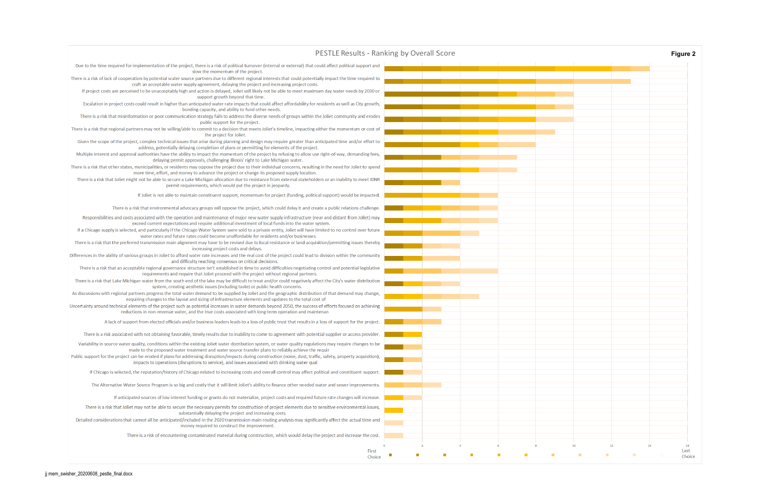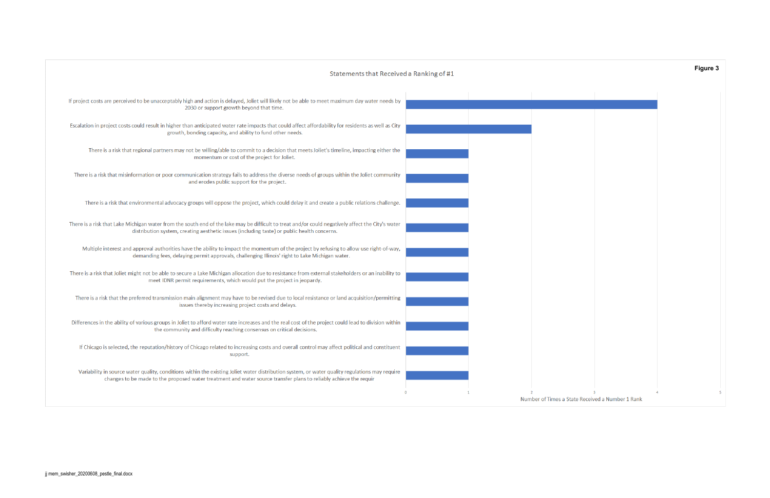# Statements that Received a Ranking of #1

| If project costs are perceived to be unacceptably high and action is delayed, Joliet will likely not be able to meet maximum day water needs by<br>2030 or support growth beyond that time.                                                                         |              |             |
|---------------------------------------------------------------------------------------------------------------------------------------------------------------------------------------------------------------------------------------------------------------------|--------------|-------------|
| Escalation in project costs could result in higher than anticipated water rate impacts that could affect affordability for residents as well as City<br>growth, bonding capacity, and ability to fund other needs.                                                  |              |             |
| There is a risk that regional partners may not be willing/able to commit to a decision that meets Joliet's timeline, impacting either the<br>momentum or cost of the project for Joliet.                                                                            |              |             |
| There is a risk that misinformation or poor communication strategy fails to address the diverse needs of groups within the Joliet community<br>and erodes public support for the project.                                                                           |              |             |
| There is a risk that environmental advocacy groups will oppose the project, which could delay it and create a public relations challenge.                                                                                                                           |              |             |
| There is a risk that Lake Michigan water from the south end of the lake may be difficult to treat and/or could negatively affect the City's water<br>distribution system, creating aesthetic issues (including taste) or public health concerns.                    |              |             |
| Multiple interest and approval authorities have the ability to impact the momentum of the project by refusing to allow use right-of-way,<br>demanding fees, delaying permit approvals, challenging Illinois' right to Lake Michigan water.                          |              |             |
| There is a risk that Joliet might not be able to secure a Lake Michigan allocation due to resistance from external stakeholders or an inability to<br>meet IDNR permit requirements, which would put the project in jeopardy.                                       |              |             |
| There is a risk that the preferred transmission main alignment may have to be revised due to local resistance or land acquisition/permitting<br>issues thereby increasing project costs and delays.                                                                 |              |             |
| Differences in the ability of various groups in Joliet to afford water rate increases and the real cost of the project could lead to division within<br>the community and difficulty reaching consensus on critical decisions.                                      |              |             |
| If Chicago is selected, the reputation/history of Chicago related to increasing costs and overall control may affect political and constituent<br>support.                                                                                                          |              |             |
| Variability in source water quality, conditions within the existing Joliet water distribution system, or water quality regulations may require<br>changes to be made to the proposed water treatment and water source transfer plans to reliably achieve the requir |              |             |
|                                                                                                                                                                                                                                                                     | $\mathbf{0}$ | Number of T |

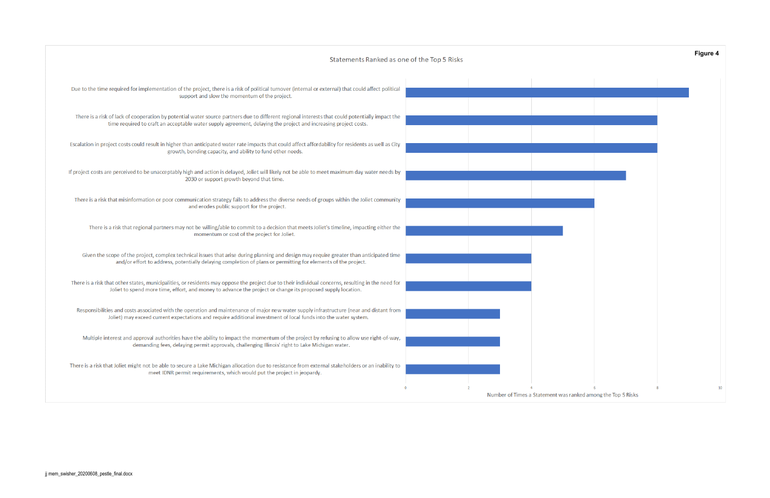## Statements Ranked as one of the Top 5 Risks

| Due to the time required for implementation of the project, there is a risk of political turnover (internal or external) that could affect political<br>support and slow the momentum of the project.                                                              |                               |
|--------------------------------------------------------------------------------------------------------------------------------------------------------------------------------------------------------------------------------------------------------------------|-------------------------------|
| There is a risk of lack of cooperation by potential water source partners due to different regional interests that could potentially impact the<br>time required to craft an acceptable water supply agreement, delaying the project and increasing project costs. |                               |
| Escalation in project costs could result in higher than anticipated water rate impacts that could affect affordability for residents as well as City<br>growth, bonding capacity, and ability to fund other needs.                                                 |                               |
| If project costs are perceived to be unacceptably high and action is delayed, Joliet will likely not be able to meet maximum day water needs by<br>2030 or support growth beyond that time.                                                                        |                               |
| There is a risk that misinformation or poor communication strategy fails to address the diverse needs of groups within the Joliet community<br>and erodes public support for the project.                                                                          |                               |
| There is a risk that regional partners may not be willing/able to commit to a decision that meets Joliet's timeline, impacting either the<br>momentum or cost of the project for Joliet.                                                                           |                               |
| Given the scope of the project, complex technical issues that arise during planning and design may require greater than anticipated time<br>and/or effort to address, potentially delaying completion of plans or permitting for elements of the project.          |                               |
| There is a risk that other states, municipalities, or residents may oppose the project due to their individual concerns, resulting in the need for<br>Joliet to spend more time, effort, and money to advance the project or change its proposed supply location.  |                               |
| Responsibilities and costs associated with the operation and maintenance of major new water supply infrastructure (near and distant from<br>Joliet) may exceed current expectations and require additional investment of local funds into the water system.        |                               |
| Multiple interest and approval authorities have the ability to impact the momentum of the project by refusing to allow use right-of-way,<br>demanding fees, delaying permit approvals, challenging Illinois' right to Lake Michigan water.                         |                               |
| There is a risk that Joliet might not be able to secure a Lake Michigan allocation due to resistance from external stakeholders or an inability to<br>meet IDNR permit requirements, which would put the project in jeopardy.                                      |                               |
|                                                                                                                                                                                                                                                                    | Number of Times a Statement v |